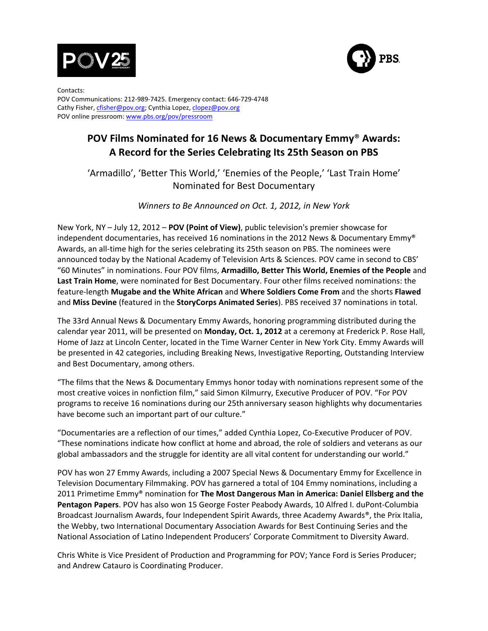



Contacts: POV Communications: 212-989-7425. Emergency contact: 646-729-4748 Cathy Fisher, cfisher@pov.org; Cynthia Lopez, clopez@pov.org POV online pressroom: www.pbs.org/pov/pressroom

# **POV!Films!Nominated!for!16!News!&!Documentary Emmy**® **Awards:!** A Record for the Series Celebrating Its 25th Season on PBS

'Armadillo', 'Better This World,' 'Enemies of the People,' 'Last Train Home' Nominated for Best Documentary

*Winners'to'Be'Announced'on'Oct.'1,'2012,'in'New'York*

New York, NY – July 12, 2012 – POV (Point of View), public television's premier showcase for independent documentaries, has received 16 nominations in the 2012 News & Documentary Emmy® Awards, an all-time high for the series celebrating its 25th season on PBS. The nominees were announced today by the National Academy of Television Arts & Sciences. POV came in second to CBS' "60 Minutes" in nominations. Four POV films, Armadillo, Better This World, Enemies of the People and Last Train Home, were nominated for Best Documentary. Four other films received nominations: the feature-length **Mugabe and the White African** and **Where Soldiers Come From** and the shorts **Flawed** and Miss Devine (featured in the StoryCorps Animated Series). PBS received 37 nominations in total.

The,33rd,Annual,News,&Documentary,Emmy,Awards, honoring,programming,distributed,during,the, calendar, year, 2011, will be presented on **Monday, Oct. 1, 2012** at a ceremony at Frederick P. Rose Hall, Home of Jazz at Lincoln Center, located in the Time Warner Center in New York City. Emmy Awards will be presented in 42 categories, including Breaking News, Investigative Reporting, Outstanding Interview and Best Documentary, among others.

"The films that the News & Documentary Emmys honor today with nominations represent some of the most creative voices in nonfiction film," said Simon Kilmurry, Executive Producer of POV. "For POV programs to receive 16 nominations during our 25th anniversary season highlights why documentaries have become such an important part of our culture."

"Documentaries are a reflection of our times," added Cynthia Lopez, Co-Executive Producer of POV. "These nominations indicate how conflict at home and abroad, the role of soldiers and veterans as our global ambassadors and the struggle for identity are all vital content for understanding our world."

POV has won, 27 Emmy, Awards, including, a, 2007, Special, News, & Documentary, Emmy, for, Excellence, in, Television,Documentary,Filmmaking.,POV has garnered a total of 104 Emmy nominations, including a 2011 Primetime Emmy® nomination for **The Most Dangerous Man in America: Daniel Ellsberg and the** Pentagon Papers. POV has also won 15 George Foster Peabody Awards, 10 Alfred I. duPont-Columbia Broadcast Journalism Awards, four Independent Spirit Awards, three Academy Awards®, the Prix Italia, the,Webby, two International Documentary Association Awards for Best Continuing Series and the National Association of Latino Independent Producers' Corporate Commitment to Diversity Award.

Chris White is Vice President of Production and Programming for POV; Yance Ford is Series Producer; and Andrew Catauro is Coordinating Producer.